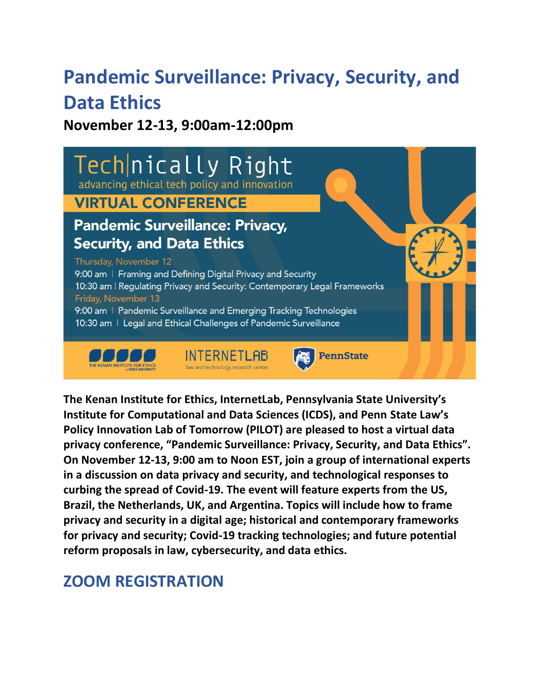# **Pandemic Surveillance: Privacy, Security, and Data Ethics**

**November 12-13, 9:00am-12:00pm**



**The Kenan Institute for Ethics, InternetLab, Pennsylvania State University's Institute for Computational and Data Sciences (ICDS), and Penn State Law's Policy Innovation Lab of Tomorrow (PILOT) are pleased to host a virtual data privacy conference, "Pandemic Surveillance: Privacy, Security, and Data Ethics". On November 12-13, 9:00 am to Noon EST, join a group of international experts in a discussion on data privacy and security, and technological responses to curbing the spread of Covid-19. The event will feature experts from the US, Brazil, the Netherlands, UK, and Argentina. Topics will include how to frame privacy and security in a digital age; historical and contemporary frameworks for privacy and security; Covid-19 tracking technologies; and future potential reform proposals in law, cybersecurity, and data ethics.**

# **[ZOOM REGISTRATION](https://psu.zoom.us/webinar/register/WN_-Bg5zxupTpSqSqjczFfUEA)**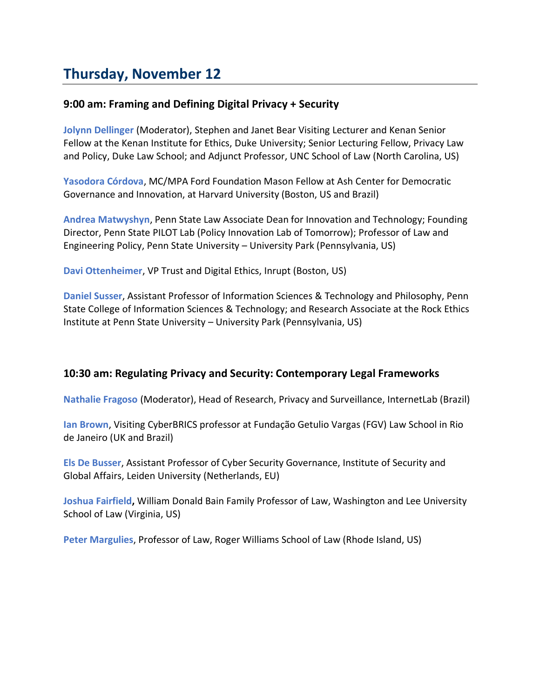## **Thursday, November 12**

## **9:00 am: Framing and Defining Digital Privacy + Security**

**Jolynn Dellinger** (Moderator), Stephen and Janet Bear Visiting Lecturer and Kenan Senior Fellow at the Kenan Institute for Ethics, Duke University; Senior Lecturing Fellow, Privacy Law and Policy, Duke Law School; and Adjunct Professor, UNC School of Law (North Carolina, US)

**Yasodora Córdova**, MC/MPA Ford Foundation Mason Fellow at Ash Center for Democratic Governance and Innovation, at Harvard University (Boston, US and Brazil)

**Andrea Matwyshyn**, Penn State Law Associate Dean for Innovation and Technology; Founding Director, Penn State PILOT Lab (Policy Innovation Lab of Tomorrow); Professor of Law and Engineering Policy, Penn State University – University Park (Pennsylvania, US)

**Davi Ottenheimer**, VP Trust and Digital Ethics, Inrupt (Boston, US)

**Daniel Susser**, Assistant Professor of Information Sciences & Technology and Philosophy, Penn State College of Information Sciences & Technology; and Research Associate at the Rock Ethics Institute at Penn State University – University Park (Pennsylvania, US)

## **10:30 am: Regulating Privacy and Security: Contemporary Legal Frameworks**

**Nathalie Fragoso** (Moderator), Head of Research, Privacy and Surveillance, InternetLab (Brazil)

**Ian Brown**, Visiting CyberBRICS professor at Fundação Getulio Vargas (FGV) Law School in Rio de Janeiro (UK and Brazil)

**Els De Busser**, Assistant Professor of Cyber Security Governance, Institute of Security and Global Affairs, Leiden University (Netherlands, EU)

**Joshua Fairfield,** William Donald Bain Family Professor of Law, Washington and Lee University School of Law (Virginia, US)

**Peter Margulies**, Professor of Law, Roger Williams School of Law (Rhode Island, US)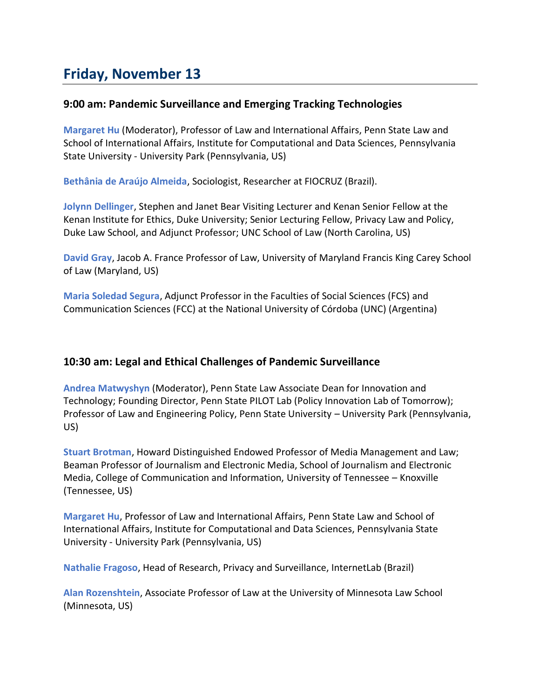## **Friday, November 13**

## **9:00 am: Pandemic Surveillance and Emerging Tracking Technologies**

**Margaret Hu** (Moderator), Professor of Law and International Affairs, Penn State Law and School of International Affairs, Institute for Computational and Data Sciences, Pennsylvania State University - University Park (Pennsylvania, US)

**Bethânia de Araújo Almeida**, Sociologist, Researcher at FIOCRUZ (Brazil).

**Jolynn Dellinger**, Stephen and Janet Bear Visiting Lecturer and Kenan Senior Fellow at the Kenan Institute for Ethics, Duke University; Senior Lecturing Fellow, Privacy Law and Policy, Duke Law School, and Adjunct Professor; UNC School of Law (North Carolina, US)

**David Gray**, Jacob A. France Professor of Law, University of Maryland Francis King Carey School of Law (Maryland, US)

**Maria Soledad Segura**, Adjunct Professor in the Faculties of Social Sciences (FCS) and Communication Sciences (FCC) at the National University of Córdoba (UNC) (Argentina)

## **10:30 am: Legal and Ethical Challenges of Pandemic Surveillance**

**Andrea Matwyshyn** (Moderator), Penn State Law Associate Dean for Innovation and Technology; Founding Director, Penn State PILOT Lab (Policy Innovation Lab of Tomorrow); Professor of Law and Engineering Policy, Penn State University – University Park (Pennsylvania, US)

**Stuart Brotman**, Howard Distinguished Endowed Professor of Media Management and Law; Beaman Professor of Journalism and Electronic Media, School of Journalism and Electronic Media, College of Communication and Information, University of Tennessee – Knoxville (Tennessee, US)

**Margaret Hu**, Professor of Law and International Affairs, Penn State Law and School of International Affairs, Institute for Computational and Data Sciences, Pennsylvania State University - University Park (Pennsylvania, US)

**Nathalie Fragoso**, Head of Research, Privacy and Surveillance, InternetLab (Brazil)

**Alan Rozenshtein**, Associate Professor of Law at the University of Minnesota Law School (Minnesota, US)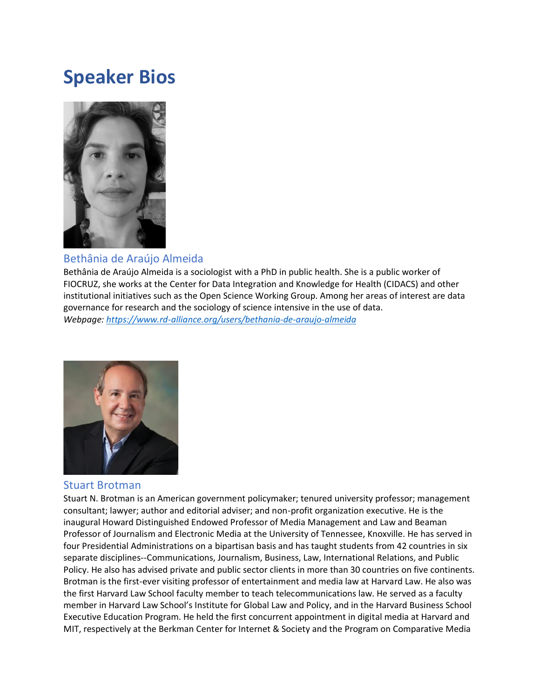# **Speaker Bios**



## Bethânia de Araújo Almeida

Bethânia de Araújo Almeida is a sociologist with a PhD in public health. She is a public worker of FIOCRUZ, she works at the Center for Data Integration and Knowledge for Health (CIDACS) and other institutional initiatives such as the Open Science Working Group. Among her areas of interest are data governance for research and the sociology of science intensive in the use of data. *Webpage: <https://www.rd-alliance.org/users/bethania-de-araujo-almeida>*



#### Stuart Brotman

Stuart N. Brotman is an American government policymaker; tenured university professor; management consultant; lawyer; author and editorial adviser; and non-profit organization executive. He is the inaugural Howard Distinguished Endowed Professor of Media Management and Law and Beaman Professor of Journalism and Electronic Media at the University of Tennessee, Knoxville. He has served in four Presidential Administrations on a bipartisan basis and has taught students from 42 countries in six separate disciplines--Communications, Journalism, Business, Law, International Relations, and Public Policy. He also has advised private and public sector clients in more than 30 countries on five continents. Brotman is the first-ever visiting professor of entertainment and media law at Harvard Law. He also was the first Harvard Law School faculty member to teach telecommunications law. He served as a faculty member in Harvard Law School's Institute for Global Law and Policy, and in the Harvard Business School Executive Education Program. He held the first concurrent appointment in digital media at Harvard and MIT, respectively at the Berkman Center for Internet & Society and the Program on Comparative Media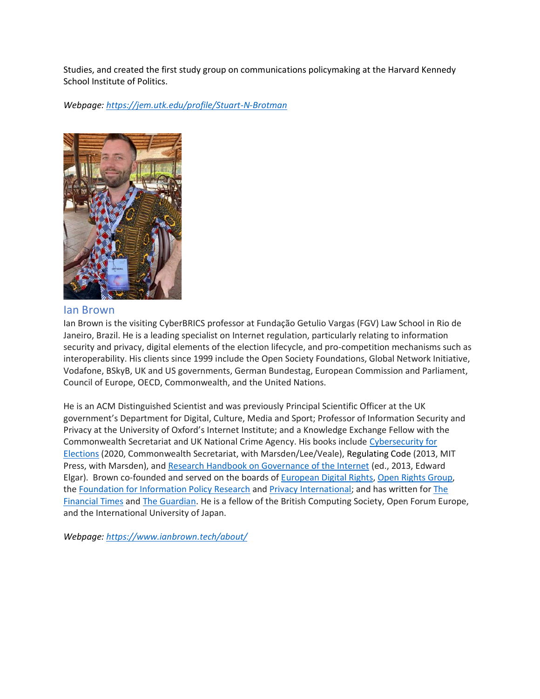Studies, and created the first study group on communications policymaking at the Harvard Kennedy School Institute of Politics.

*Webpage: <https://jem.utk.edu/profile/Stuart-N-Brotman>*



#### Ian Brown

Ian Brown is the visiting CyberBRICS professor at Fundação Getulio Vargas (FGV) Law School in Rio de Janeiro, Brazil. He is a leading specialist on Internet regulation, particularly relating to information security and privacy, digital elements of the election lifecycle, and pro-competition mechanisms such as interoperability. His clients since 1999 include the Open Society Foundations, Global Network Initiative, Vodafone, BSkyB, UK and US governments, German Bundestag, European Commission and Parliament, Council of Europe, OECD, Commonwealth, and the United Nations.

He is an ACM Distinguished Scientist and was previously Principal Scientific Officer at the UK government's Department for Digital, Culture, Media and Sport; Professor of Information Security and Privacy at the University of Oxford's Internet Institute; and a Knowledge Exchange Fellow with the Commonwealth Secretariat and UK National Crime Agency. His books include [Cybersecurity for](https://books.thecommonwealth.org/cybersecurity-elections-paperback)  [Elections](https://books.thecommonwealth.org/cybersecurity-elections-paperback) (2020, Commonwealth Secretariat, with Marsden/Lee/Veale), Regulating Code (2013, MIT Press, with Marsden), and [Research Handbook on Governance of the Internet](https://www.e-elgar.com/shop/usd/research-handbook-on-governance-of-the-internet-9781849805025.html) (ed., 2013, Edward Elgar). Brown co-founded and served on the boards of [European Digital Rights,](https://edri.org/) [Open Rights Group,](https://www.openrightsgroup.org/) the [Foundation for Information Policy Research](https://fipr.org/) and [Privacy International;](https://www.privacyinternational.org/) and has written for [The](https://www.ft.com/content/4f35215e-c745-11de-bb6f-00144feab49a)  [Financial Times](https://www.ft.com/content/4f35215e-c745-11de-bb6f-00144feab49a) and [The Guardian.](https://www.theguardian.com/profile/ian-brown) He is a fellow of the British Computing Society, Open Forum Europe, and the International University of Japan.

*Webpage: <https://www.ianbrown.tech/about/>*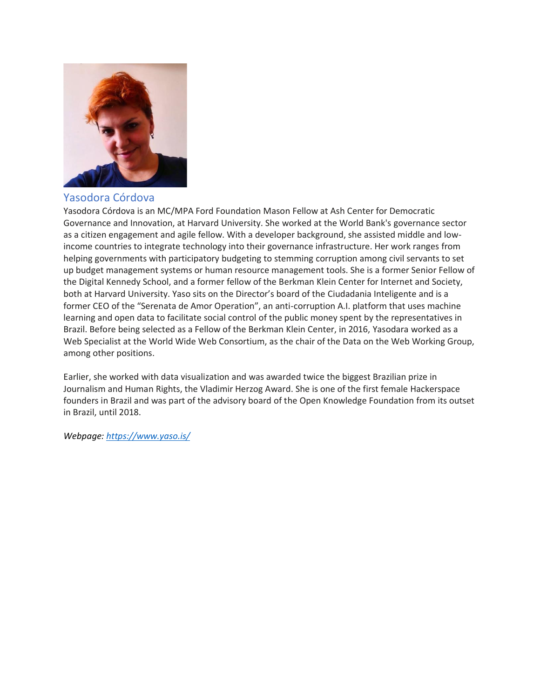

## Yasodora Córdova

Yasodora Córdova is an MC/MPA Ford Foundation Mason Fellow at Ash Center for Democratic Governance and Innovation, at Harvard University. She worked at the World Bank's governance sector as a citizen engagement and agile fellow. With a developer background, she assisted middle and lowincome countries to integrate technology into their governance infrastructure. Her work ranges from helping governments with participatory budgeting to stemming corruption among civil servants to set up budget management systems or human resource management tools. She is a former Senior Fellow of the Digital Kennedy School, and a former fellow of the Berkman Klein Center for Internet and Society, both at Harvard University. Yaso sits on the Director's board of the Ciudadania Inteligente and is a former CEO of the "Serenata de Amor Operation", an anti-corruption A.I. platform that uses machine learning and open data to facilitate social control of the public money spent by the representatives in Brazil. Before being selected as a Fellow of the Berkman Klein Center, in 2016, Yasodara worked as a Web Specialist at the World Wide Web Consortium, as the chair of the Data on the Web Working Group, among other positions.

Earlier, she worked with data visualization and was awarded twice the biggest Brazilian prize in Journalism and Human Rights, the Vladimir Herzog Award. She is one of the first female Hackerspace founders in Brazil and was part of the advisory board of the Open Knowledge Foundation from its outset in Brazil, until 2018.

*Webpage: <https://www.yaso.is/>*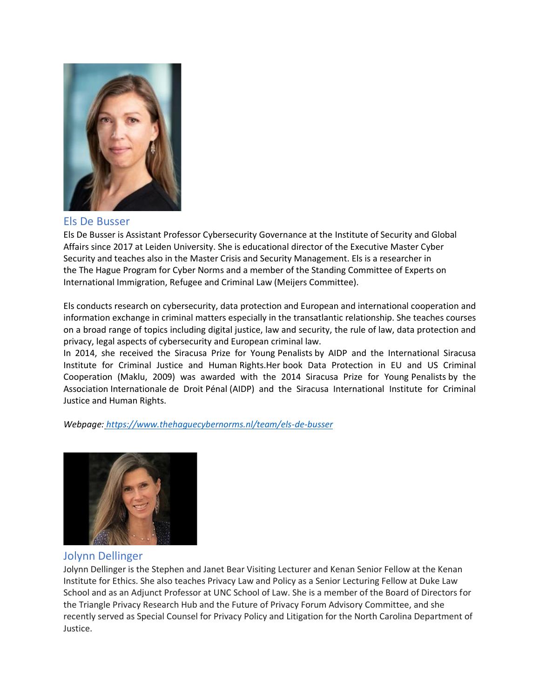

#### Els De Busser

Els De Busser is Assistant Professor Cybersecurity Governance at the Institute of Security and Global Affairs since 2017 at Leiden University. She is educational director of the Executive Master Cyber Security and teaches also in the Master Crisis and Security Management. Els is a researcher in the The Hague Program for Cyber Norms and a member of the Standing Committee of Experts on International Immigration, Refugee and Criminal Law (Meijers Committee).

Els conducts research on cybersecurity, data protection and European and international cooperation and information exchange in criminal matters especially in the transatlantic relationship. She teaches courses on a broad range of topics including digital justice, law and security, the rule of law, data protection and privacy, legal aspects of cybersecurity and European criminal law.

In 2014, she received the Siracusa Prize for Young Penalists by AIDP and the International Siracusa Institute for Criminal Justice and Human Rights.Her book Data Protection in EU and US Criminal Cooperation (Maklu, 2009) was awarded with the 2014 Siracusa Prize for Young Penalists by the Association Internationale de Droit Pénal (AIDP) and the Siracusa International Institute for Criminal Justice and Human Rights.

*Webpage: <https://www.thehaguecybernorms.nl/team/els-de-busser>*



#### Jolynn Dellinger

Jolynn Dellinger is the Stephen and Janet Bear Visiting Lecturer and Kenan Senior Fellow at the Kenan Institute for Ethics. She also teaches Privacy Law and Policy as a Senior Lecturing Fellow at Duke Law School and as an Adjunct Professor at UNC School of Law. She is a member of the Board of Directors for the Triangle Privacy Research Hub and the Future of Privacy Forum Advisory Committee, and she recently served as Special Counsel for Privacy Policy and Litigation for the North Carolina Department of Justice.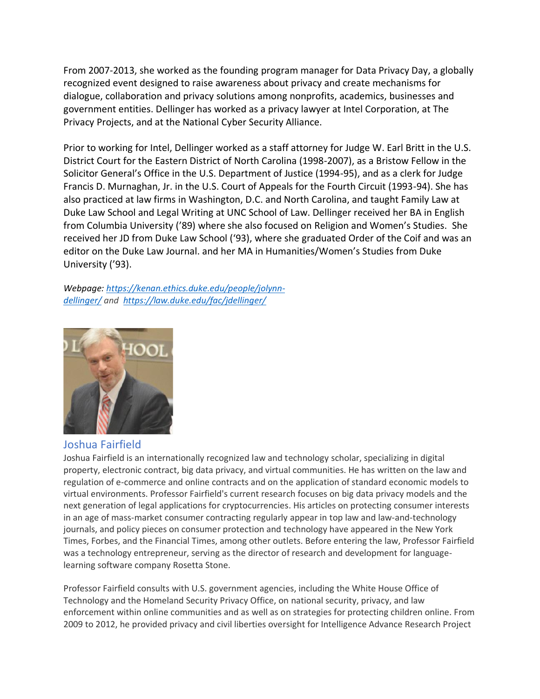From 2007-2013, she worked as the founding program manager for Data Privacy Day, a globally recognized event designed to raise awareness about privacy and create mechanisms for dialogue, collaboration and privacy solutions among nonprofits, academics, businesses and government entities. Dellinger has worked as a privacy lawyer at Intel Corporation, at The Privacy Projects, and at the National Cyber Security Alliance.

Prior to working for Intel, Dellinger worked as a staff attorney for Judge W. Earl Britt in the U.S. District Court for the Eastern District of North Carolina (1998-2007), as a Bristow Fellow in the Solicitor General's Office in the U.S. Department of Justice (1994-95), and as a clerk for Judge Francis D. Murnaghan, Jr. in the U.S. Court of Appeals for the Fourth Circuit (1993-94). She has also practiced at law firms in Washington, D.C. and North Carolina, and taught Family Law at Duke Law School and Legal Writing at UNC School of Law. Dellinger received her BA in English from Columbia University ('89) where she also focused on Religion and Women's Studies. She received her JD from Duke Law School ('93), where she graduated Order of the Coif and was an editor on the Duke Law Journal. and her MA in Humanities/Women's Studies from Duke University ('93).

*Webpage: [https://kenan.ethics.duke.edu/people/jolynn](https://kenan.ethics.duke.edu/people/jolynn-dellinger/)[dellinger/](https://kenan.ethics.duke.edu/people/jolynn-dellinger/) and <https://law.duke.edu/fac/jdellinger/>*



#### Joshua Fairfield

Joshua Fairfield is an internationally recognized law and technology scholar, specializing in digital property, electronic contract, big data privacy, and virtual communities. He has written on the law and regulation of e-commerce and online contracts and on the application of standard economic models to virtual environments. Professor Fairfield's current research focuses on big data privacy models and the next generation of legal applications for cryptocurrencies. His articles on protecting consumer interests in an age of mass-market consumer contracting regularly appear in top law and law-and-technology journals, and policy pieces on consumer protection and technology have appeared in the New York Times, Forbes, and the Financial Times, among other outlets. Before entering the law, Professor Fairfield was a technology entrepreneur, serving as the director of research and development for languagelearning software company Rosetta Stone.

Professor Fairfield consults with U.S. government agencies, including the White House Office of Technology and the Homeland Security Privacy Office, on national security, privacy, and law enforcement within online communities and as well as on strategies for protecting children online. From 2009 to 2012, he provided privacy and civil liberties oversight for Intelligence Advance Research Project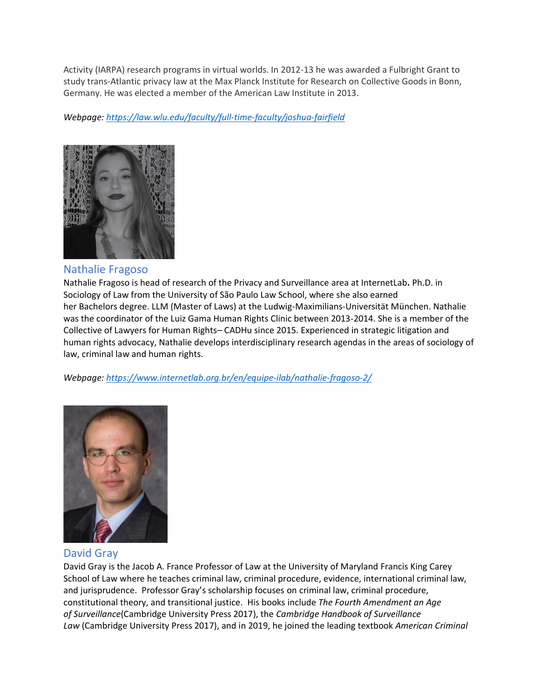Activity (IARPA) research programs in virtual worlds. In 2012-13 he was awarded a Fulbright Grant to study trans-Atlantic privacy law at the Max Planck Institute for Research on Collective Goods in Bonn, Germany. He was elected a member of the American Law Institute in 2013.

*Webpage: <https://law.wlu.edu/faculty/full-time-faculty/joshua-fairfield>*



#### Nathalie Fragoso

Nathalie Fragoso is head of research of the Privacy and Surveillance area at InternetLab**.** Ph.D. in Sociology of Law from the University of São Paulo Law School, where she also earned her Bachelors degree. LLM (Master of Laws) at the Ludwig-Maximilians-Universität München. Nathalie was the coordinator of the Luiz Gama Human Rights Clinic between 2013-2014. She is a member of the Collective of Lawyers for Human Rights– CADHu since 2015. Experienced in strategic litigation and human rights advocacy, Nathalie develops interdisciplinary research agendas in the areas of sociology of law, criminal law and human rights.

*Webpage: <https://www.internetlab.org.br/en/equipe-ilab/nathalie-fragoso-2/>*



David Gray

David Gray is the Jacob A. France Professor of Law at the University of Maryland Francis King Carey School of Law where he teaches criminal law, criminal procedure, evidence, international criminal law, and jurisprudence. Professor Gray's scholarship focuses on criminal law, criminal procedure, constitutional theory, and transitional justice. His books include *The Fourth Amendment an Age of Surveillance*(Cambridge University Press 2017), the *Cambridge Handbook of Surveillance Law* (Cambridge University Press 2017), and in 2019, he joined the leading textbook *American Criminal*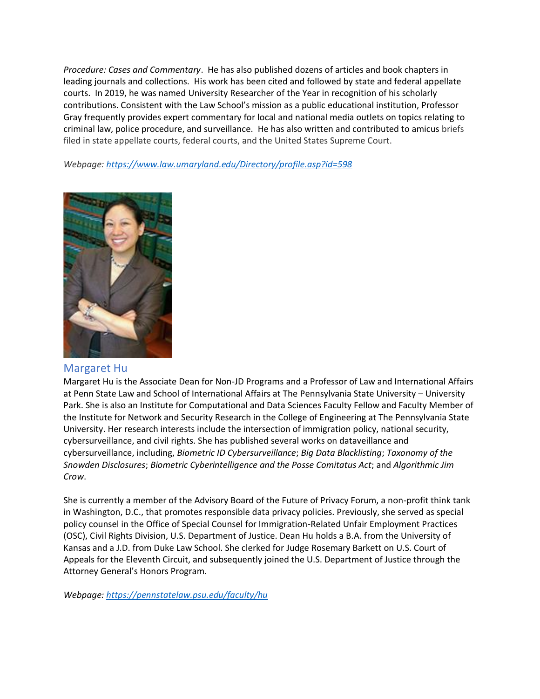*Procedure: Cases and Commentary*. He has also published dozens of articles and book chapters in leading journals and collections. His work has been cited and followed by state and federal appellate courts. In 2019, he was named University Researcher of the Year in recognition of his scholarly contributions. Consistent with the Law School's mission as a public educational institution, Professor Gray frequently provides expert commentary for local and national media outlets on topics relating to criminal law, police procedure, and surveillance. He has also written and contributed to amicus briefs filed in state appellate courts, federal courts, and the United States Supreme Court.

*Webpage: <https://www.law.umaryland.edu/Directory/profile.asp?id=598>*



#### Margaret Hu

Margaret Hu is the Associate Dean for Non-JD Programs and a Professor of Law and International Affairs at Penn State Law and School of International Affairs at The Pennsylvania State University – University Park. She is also an Institute for Computational and Data Sciences Faculty Fellow and Faculty Member of the Institute for Network and Security Research in the College of Engineering at The Pennsylvania State University. Her research interests include the intersection of immigration policy, national security, cybersurveillance, and civil rights. She has published several works on dataveillance and cybersurveillance, including, *Biometric ID Cybersurveillance*; *Big Data Blacklisting*; *Taxonomy of the Snowden Disclosures*; *Biometric Cyberintelligence and the Posse Comitatus Act*; and *Algorithmic Jim Crow*.

She is currently a member of the Advisory Board of the Future of Privacy Forum, a non-profit think tank in Washington, D.C., that promotes responsible data privacy policies. Previously, she served as special policy counsel in the Office of Special Counsel for Immigration-Related Unfair Employment Practices (OSC), Civil Rights Division, U.S. Department of Justice. Dean Hu holds a B.A. from the University of Kansas and a J.D. from Duke Law School. She clerked for Judge Rosemary Barkett on U.S. Court of Appeals for the Eleventh Circuit, and subsequently joined the U.S. Department of Justice through the Attorney General's Honors Program.

*Webpage: <https://pennstatelaw.psu.edu/faculty/hu>*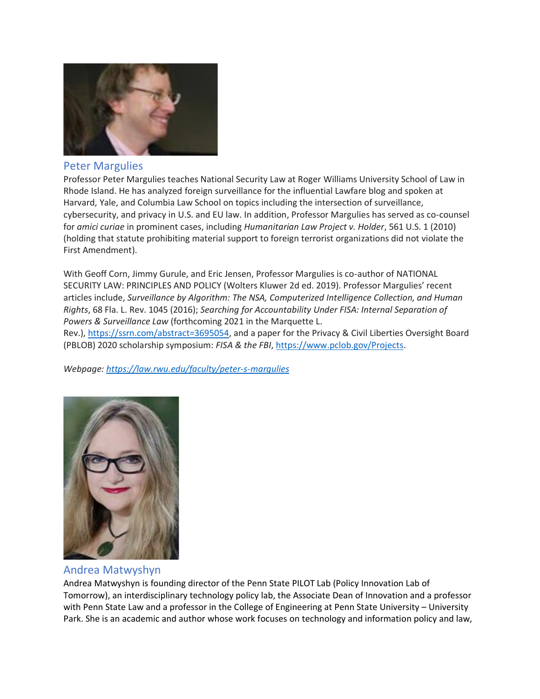

#### Peter Margulies

Professor Peter Margulies teaches National Security Law at Roger Williams University School of Law in Rhode Island. He has analyzed foreign surveillance for the influential Lawfare blog and spoken at Harvard, Yale, and Columbia Law School on topics including the intersection of surveillance, cybersecurity, and privacy in U.S. and EU law. In addition, Professor Margulies has served as co-counsel for *amici curiae* in prominent cases, including *Humanitarian Law Project v. Holder*, 561 U.S. 1 (2010) (holding that statute prohibiting material support to foreign terrorist organizations did not violate the First Amendment).

With Geoff Corn, Jimmy Gurule, and Eric Jensen, Professor Margulies is co-author of NATIONAL SECURITY LAW: PRINCIPLES AND POLICY (Wolters Kluwer 2d ed. 2019). Professor Margulies' recent articles include, *Surveillance by Algorithm: The NSA, Computerized Intelligence Collection, and Human Rights*, 68 Fla. L. Rev. 1045 (2016); *Searching for Accountability Under FISA: Internal Separation of Powers & Surveillance Law* (forthcoming 2021 in the Marquette L.

Rev.), [https://ssrn.com/abstract=3695054,](https://ssrn.com/abstract=3695054) and a paper for the Privacy & Civil Liberties Oversight Board (PBLOB) 2020 scholarship symposium: *FISA & the FBI*, [https://www.pclob.gov/Projects.](https://www.pclob.gov/Projects)

*Webpage: <https://law.rwu.edu/faculty/peter-s-margulies>*



#### Andrea Matwyshyn

Andrea Matwyshyn is founding director of the Penn State PILOT Lab (Policy Innovation Lab of Tomorrow), an interdisciplinary technology policy lab, the Associate Dean of Innovation and a professor with Penn State Law and a professor in the College of Engineering at Penn State University – University Park. She is an academic and author whose work focuses on technology and information policy and law,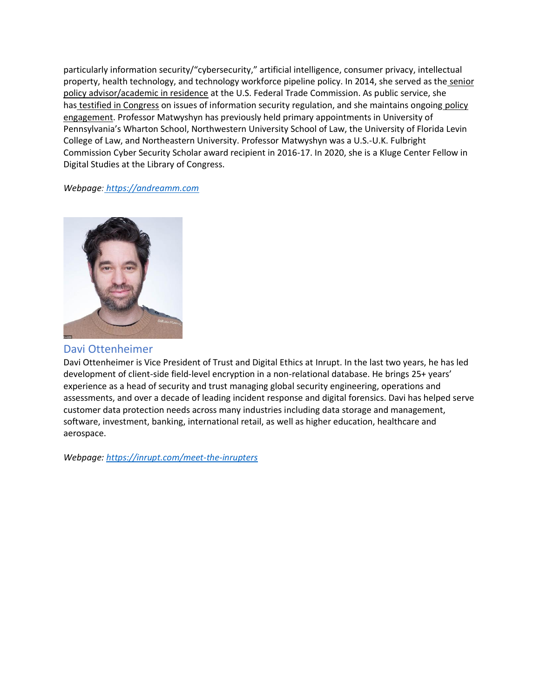particularly information security/"cybersecurity," artificial intelligence, consumer privacy, intellectual property, health technology, and technology workforce pipeline policy. In 2014, she served as the senior [policy advisor/academic in residence](https://nam01.safelinks.protection.outlook.com/?url=https%3A%2F%2Fwww.ftc.gov%2Fnews-events%2Fpress-releases%2F2013%2F11%2Fftc-names-latanya-sweeney-chief-technologist-andrea-matwyshyn&data=04%7C01%7Candreamm%40psu.edu%7Cc7fcf37cf9e5434a5e9708d87adc5601%7C7cf48d453ddb4389a9c1c115526eb52e%7C0%7C0%7C637394434054259153%7CUnknown%7CTWFpbGZsb3d8eyJWIjoiMC4wLjAwMDAiLCJQIjoiV2luMzIiLCJBTiI6Ik1haWwiLCJXVCI6Mn0%3D%7C1000&sdata=upRp7bltykwtQubZMJPAWBC8XcbLUa39Z3FddKGcGW0%3D&reserved=0) at the U.S. Federal Trade Commission. As public service, she has [testified in Congress](https://nam01.safelinks.protection.outlook.com/?url=https%3A%2F%2Fwww.youtube.com%2Fwatch%3Fv%3DQSN-XCw8y7E%26feature%3Dyoutu.be%26t%3D35m23s&data=04%7C01%7Candreamm%40psu.edu%7Cc7fcf37cf9e5434a5e9708d87adc5601%7C7cf48d453ddb4389a9c1c115526eb52e%7C0%7C0%7C637394434054269145%7CUnknown%7CTWFpbGZsb3d8eyJWIjoiMC4wLjAwMDAiLCJQIjoiV2luMzIiLCJBTiI6Ik1haWwiLCJXVCI6Mn0%3D%7C1000&sdata=EiSTqOS1YcP%2BNk6R%2Fd%2FUJ7PuuLyEwF1x6tyLTw8iugg%3D&reserved=0) on issues of information security regulation, and she maintains ongoing policy [engagement.](https://nam01.safelinks.protection.outlook.com/?url=https%3A%2F%2Fwww.andreamm.com%2Fgovernment&data=04%7C01%7Candreamm%40psu.edu%7Cc7fcf37cf9e5434a5e9708d87adc5601%7C7cf48d453ddb4389a9c1c115526eb52e%7C0%7C0%7C637394434054269145%7CUnknown%7CTWFpbGZsb3d8eyJWIjoiMC4wLjAwMDAiLCJQIjoiV2luMzIiLCJBTiI6Ik1haWwiLCJXVCI6Mn0%3D%7C1000&sdata=MDG51CnsWLplHfKniTpobEBkUL5%2FlP39UEuOShexSaE%3D&reserved=0) Professor Matwyshyn has previously held primary appointments in University of Pennsylvania's Wharton School, Northwestern University School of Law, the University of Florida Levin College of Law, and Northeastern University. Professor Matwyshyn was a U.S.-U.K. Fulbright Commission Cyber Security Scholar award recipient in 2016-17. In 2020, she is a Kluge Center Fellow in Digital Studies at the Library of Congress.

#### *Webpage: [https://andreamm.com](https://andreamm.com/)*



#### Davi Ottenheimer

Davi Ottenheimer is Vice President of Trust and Digital Ethics at Inrupt. In the last two years, he has led development of client-side field-level encryption in a non-relational database. He brings 25+ years' experience as a head of security and trust managing global security engineering, operations and assessments, and over a decade of leading incident response and digital forensics. Davi has helped serve customer data protection needs across many industries including data storage and management, software, investment, banking, international retail, as well as higher education, healthcare and aerospace.

*Webpage: <https://inrupt.com/meet-the-inrupters>*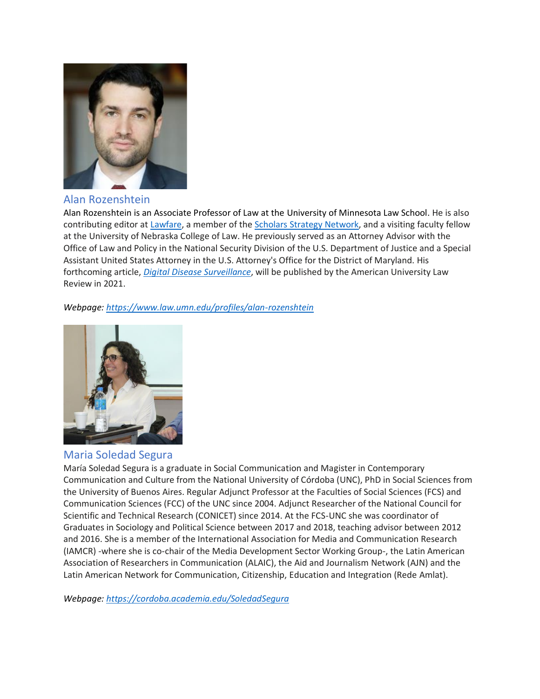

## Alan Rozenshtein

Alan Rozenshtein is an Associate Professor of Law at the University of Minnesota Law School. He is also contributing editor at [Lawfare,](https://nam01.safelinks.protection.outlook.com/?url=https%3A%2F%2Fwww.lawfareblog.com%2Fcontributors%2Farozenshtein&data=04%7C01%7Cmkh6004%40psu.edu%7C1f625feb22b34ee97f5408d879dbfad6%7C7cf48d453ddb4389a9c1c115526eb52e%7C0%7C0%7C637393333004220318%7CUnknown%7CTWFpbGZsb3d8eyJWIjoiMC4wLjAwMDAiLCJQIjoiV2luMzIiLCJBTiI6Ik1haWwiLCJXVCI6Mn0%3D%7C1000&sdata=Lft6geP8mGLbYddZYclHPh1NJbAdVNVtFXK7oWWkPDQ%3D&reserved=0) a member of the [Scholars Strategy Network,](https://nam01.safelinks.protection.outlook.com/?url=https%3A%2F%2Fscholars.org%2Fscholar%2Falan-rozenshtein&data=04%7C01%7Cmkh6004%40psu.edu%7C1f625feb22b34ee97f5408d879dbfad6%7C7cf48d453ddb4389a9c1c115526eb52e%7C0%7C0%7C637393333004230316%7CUnknown%7CTWFpbGZsb3d8eyJWIjoiMC4wLjAwMDAiLCJQIjoiV2luMzIiLCJBTiI6Ik1haWwiLCJXVCI6Mn0%3D%7C1000&sdata=2lLuXk6NZNY28tD8XdfQgdwkM7OCodUb5iTSI8jm8V4%3D&reserved=0) and a visiting faculty fellow at the University of Nebraska College of Law. He previously served as an Attorney Advisor with the Office of Law and Policy in the National Security Division of the U.S. Department of Justice and a Special Assistant United States Attorney in the U.S. Attorney's Office for the District of Maryland. His forthcoming article, *[Digital Disease Surveillance](https://nam01.safelinks.protection.outlook.com/?url=https%3A%2F%2Fpapers.ssrn.com%2Fsol3%2Fpapers.cfm%3Fabstract_id%3D3698431&data=04%7C01%7Cmkh6004%40psu.edu%7C1f625feb22b34ee97f5408d879dbfad6%7C7cf48d453ddb4389a9c1c115526eb52e%7C0%7C0%7C637393333004230316%7CUnknown%7CTWFpbGZsb3d8eyJWIjoiMC4wLjAwMDAiLCJQIjoiV2luMzIiLCJBTiI6Ik1haWwiLCJXVCI6Mn0%3D%7C1000&sdata=3gVCS6sNQytvwbIOmLwR1xItXxS6j4LWxGlwOB9sTX0%3D&reserved=0)*, will be published by the American University Law Review in 2021.

#### *Webpage: <https://www.law.umn.edu/profiles/alan-rozenshtein>*



#### Maria Soledad Segura

María Soledad Segura is a graduate in Social Communication and Magister in Contemporary Communication and Culture from the National University of Córdoba (UNC), PhD in Social Sciences from the University of Buenos Aires. Regular Adjunct Professor at the Faculties of Social Sciences (FCS) and Communication Sciences (FCC) of the UNC since 2004. Adjunct Researcher of the National Council for Scientific and Technical Research (CONICET) since 2014. At the FCS-UNC she was coordinator of Graduates in Sociology and Political Science between 2017 and 2018, teaching advisor between 2012 and 2016. She is a member of the International Association for Media and Communication Research (IAMCR) -where she is co-chair of the Media Development Sector Working Group-, the Latin American Association of Researchers in Communication (ALAIC), the Aid and Journalism Network (AJN) and the Latin American Network for Communication, Citizenship, Education and Integration (Rede Amlat).

*Webpage: <https://cordoba.academia.edu/SoledadSegura>*